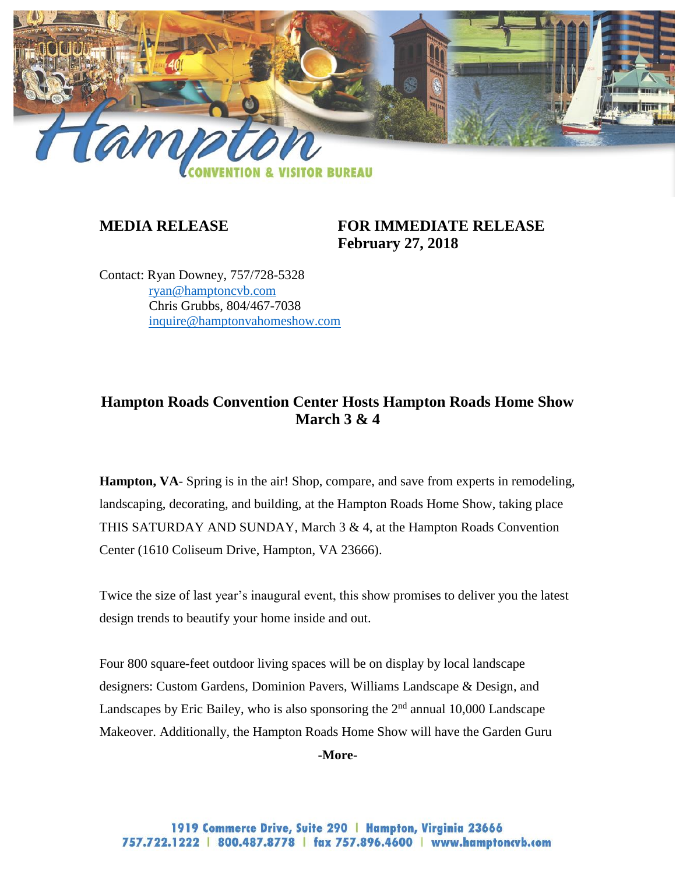

## **MEDIA RELEASE FOR IMMEDIATE RELEASE February 27, 2018**

Contact: Ryan Downey, 757/728-5328 [ryan@hamptoncvb.com](mailto:ryan@hamptoncvb.com) Chris Grubbs, 804/467-7038 [inquire@hamptonvahomeshow.com](mailto:inquire@hamptonvahomeshow.com)

## **Hampton Roads Convention Center Hosts Hampton Roads Home Show March 3 & 4**

**Hampton, VA**- Spring is in the air! Shop, compare, and save from experts in remodeling, landscaping, decorating, and building, at the Hampton Roads Home Show, taking place THIS SATURDAY AND SUNDAY, March 3 & 4, at the Hampton Roads Convention Center (1610 Coliseum Drive, Hampton, VA 23666).

Twice the size of last year's inaugural event, this show promises to deliver you the latest design trends to beautify your home inside and out.

Four 800 square-feet outdoor living spaces will be on display by local landscape designers: Custom Gardens, Dominion Pavers, Williams Landscape & Design, and Landscapes by Eric Bailey, who is also sponsoring the  $2<sup>nd</sup>$  annual 10,000 Landscape Makeover. Additionally, the Hampton Roads Home Show will have the Garden Guru

**-More-**